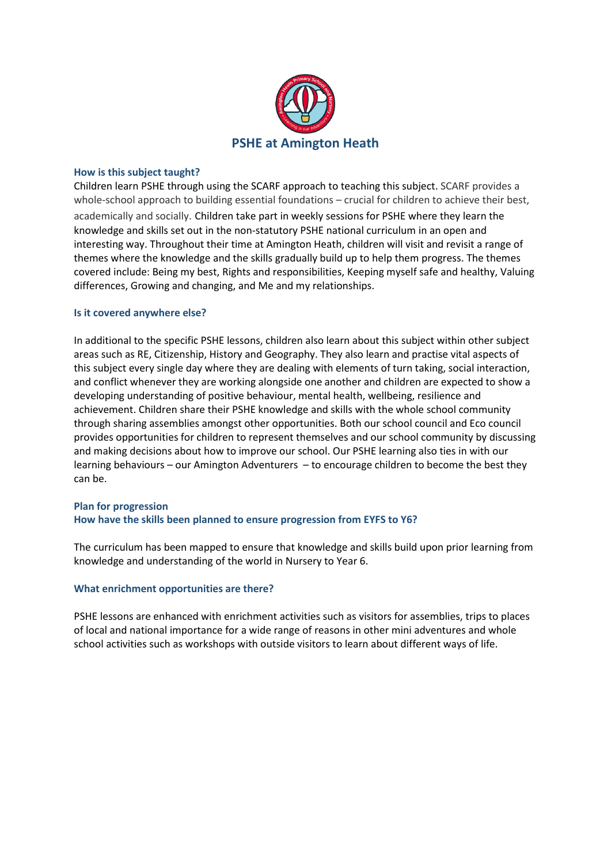

#### **How is this subject taught?**

Children learn PSHE through using the SCARF approach to teaching this subject. SCARF provides a whole-school approach to building essential foundations – crucial for children to achieve their best,

academically and socially. Children take part in weekly sessions for PSHE where they learn the knowledge and skills set out in the non-statutory PSHE national curriculum in an open and interesting way. Throughout their time at Amington Heath, children will visit and revisit a range of themes where the knowledge and the skills gradually build up to help them progress. The themes covered include: Being my best, Rights and responsibilities, Keeping myself safe and healthy, Valuing differences, Growing and changing, and Me and my relationships.

#### **Is it covered anywhere else?**

In additional to the specific PSHE lessons, children also learn about this subject within other subject areas such as RE, Citizenship, History and Geography. They also learn and practise vital aspects of this subject every single day where they are dealing with elements of turn taking, social interaction, and conflict whenever they are working alongside one another and children are expected to show a developing understanding of positive behaviour, mental health, wellbeing, resilience and achievement. Children share their PSHE knowledge and skills with the whole school community through sharing assemblies amongst other opportunities. Both our school council and Eco council provides opportunities for children to represent themselves and our school community by discussing and making decisions about how to improve our school. Our PSHE learning also ties in with our learning behaviours – our Amington Adventurers – to encourage children to become the best they can be.

### **Plan for progression How have the skills been planned to ensure progression from EYFS to Y6?**

The curriculum has been mapped to ensure that knowledge and skills build upon prior learning from knowledge and understanding of the world in Nursery to Year 6.

#### **What enrichment opportunities are there?**

PSHE lessons are enhanced with enrichment activities such as visitors for assemblies, trips to places of local and national importance for a wide range of reasons in other mini adventures and whole school activities such as workshops with outside visitors to learn about different ways of life.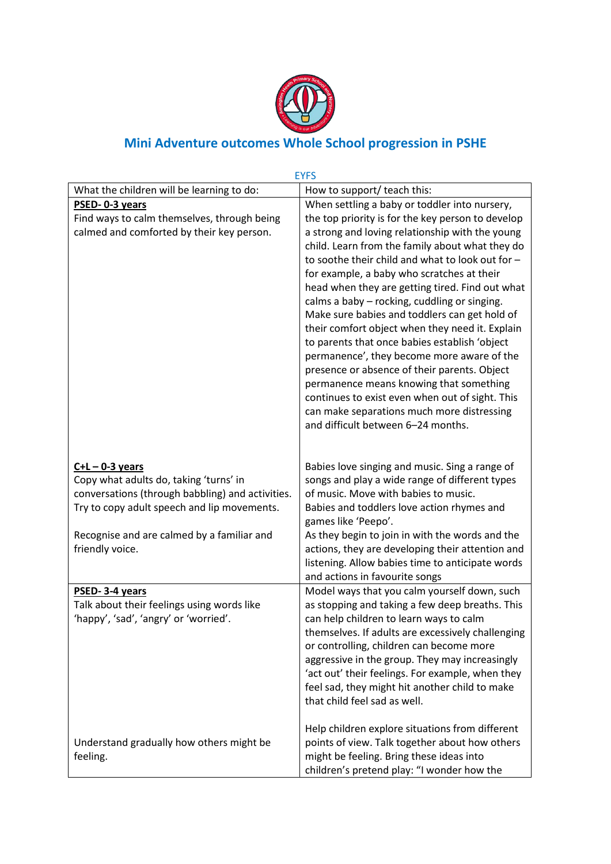

# **Mini Adventure outcomes Whole School progression in PSHE**

|                                                           | <b>EYFS</b>                                       |
|-----------------------------------------------------------|---------------------------------------------------|
| What the children will be learning to do:                 | How to support/ teach this:                       |
| PSED-0-3 years                                            | When settling a baby or toddler into nursery,     |
| Find ways to calm themselves, through being               | the top priority is for the key person to develop |
| calmed and comforted by their key person.                 | a strong and loving relationship with the young   |
|                                                           | child. Learn from the family about what they do   |
|                                                           | to soothe their child and what to look out for -  |
|                                                           | for example, a baby who scratches at their        |
|                                                           | head when they are getting tired. Find out what   |
|                                                           | calms a baby - rocking, cuddling or singing.      |
|                                                           | Make sure babies and toddlers can get hold of     |
|                                                           | their comfort object when they need it. Explain   |
|                                                           | to parents that once babies establish 'object     |
|                                                           | permanence', they become more aware of the        |
|                                                           | presence or absence of their parents. Object      |
|                                                           | permanence means knowing that something           |
|                                                           | continues to exist even when out of sight. This   |
|                                                           | can make separations much more distressing        |
|                                                           | and difficult between 6-24 months.                |
|                                                           |                                                   |
|                                                           | Babies love singing and music. Sing a range of    |
| $C+L-0-3$ years<br>Copy what adults do, taking 'turns' in | songs and play a wide range of different types    |
| conversations (through babbling) and activities.          | of music. Move with babies to music.              |
| Try to copy adult speech and lip movements.               | Babies and toddlers love action rhymes and        |
|                                                           | games like 'Peepo'.                               |
| Recognise and are calmed by a familiar and                | As they begin to join in with the words and the   |
| friendly voice.                                           | actions, they are developing their attention and  |
|                                                           | listening. Allow babies time to anticipate words  |
|                                                           | and actions in favourite songs                    |
| PSED-3-4 years                                            | Model ways that you calm yourself down, such      |
| Talk about their feelings using words like                | as stopping and taking a few deep breaths. This   |
| 'happy', 'sad', 'angry' or 'worried'.                     | can help children to learn ways to calm           |
|                                                           | themselves. If adults are excessively challenging |
|                                                           | or controlling, children can become more          |
|                                                           | aggressive in the group. They may increasingly    |
|                                                           | 'act out' their feelings. For example, when they  |
|                                                           | feel sad, they might hit another child to make    |
|                                                           | that child feel sad as well.                      |
|                                                           | Help children explore situations from different   |
| Understand gradually how others might be                  | points of view. Talk together about how others    |
| feeling.                                                  | might be feeling. Bring these ideas into          |
|                                                           | children's pretend play: "I wonder how the        |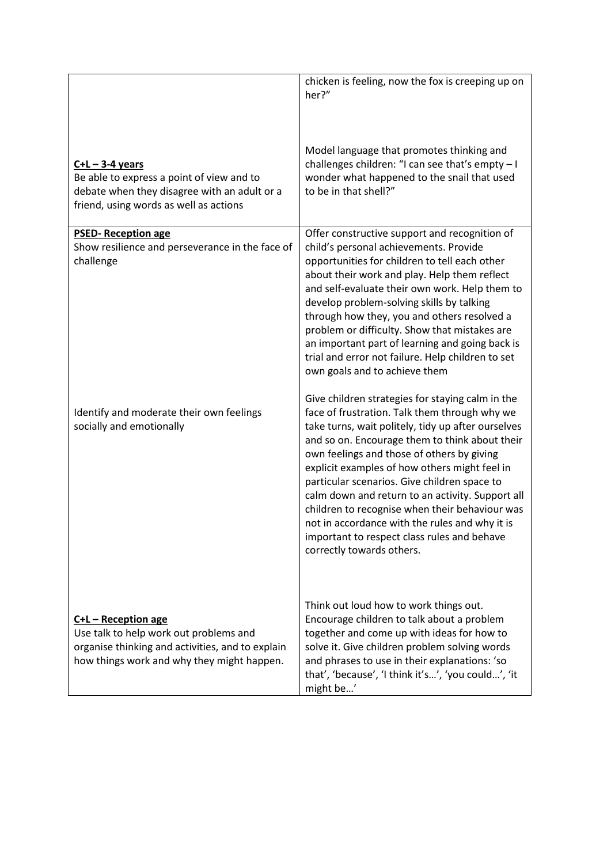|                                                                                                                                                                 | chicken is feeling, now the fox is creeping up on<br>her?"                                                                                                                                                                                                                                                                                                                                                                                                                                                                                                                                   |
|-----------------------------------------------------------------------------------------------------------------------------------------------------------------|----------------------------------------------------------------------------------------------------------------------------------------------------------------------------------------------------------------------------------------------------------------------------------------------------------------------------------------------------------------------------------------------------------------------------------------------------------------------------------------------------------------------------------------------------------------------------------------------|
| $C+L-3-4$ years<br>Be able to express a point of view and to<br>debate when they disagree with an adult or a<br>friend, using words as well as actions          | Model language that promotes thinking and<br>challenges children: "I can see that's empty - I<br>wonder what happened to the snail that used<br>to be in that shell?"                                                                                                                                                                                                                                                                                                                                                                                                                        |
| <b>PSED-Reception age</b><br>Show resilience and perseverance in the face of<br>challenge                                                                       | Offer constructive support and recognition of<br>child's personal achievements. Provide<br>opportunities for children to tell each other<br>about their work and play. Help them reflect<br>and self-evaluate their own work. Help them to<br>develop problem-solving skills by talking<br>through how they, you and others resolved a<br>problem or difficulty. Show that mistakes are<br>an important part of learning and going back is<br>trial and error not failure. Help children to set<br>own goals and to achieve them                                                             |
| Identify and moderate their own feelings<br>socially and emotionally                                                                                            | Give children strategies for staying calm in the<br>face of frustration. Talk them through why we<br>take turns, wait politely, tidy up after ourselves<br>and so on. Encourage them to think about their<br>own feelings and those of others by giving<br>explicit examples of how others might feel in<br>particular scenarios. Give children space to<br>calm down and return to an activity. Support all<br>children to recognise when their behaviour was<br>not in accordance with the rules and why it is<br>important to respect class rules and behave<br>correctly towards others. |
| C+L - Reception age<br>Use talk to help work out problems and<br>organise thinking and activities, and to explain<br>how things work and why they might happen. | Think out loud how to work things out.<br>Encourage children to talk about a problem<br>together and come up with ideas for how to<br>solve it. Give children problem solving words<br>and phrases to use in their explanations: 'so<br>that', 'because', 'I think it's', 'you could', 'it<br>might be'                                                                                                                                                                                                                                                                                      |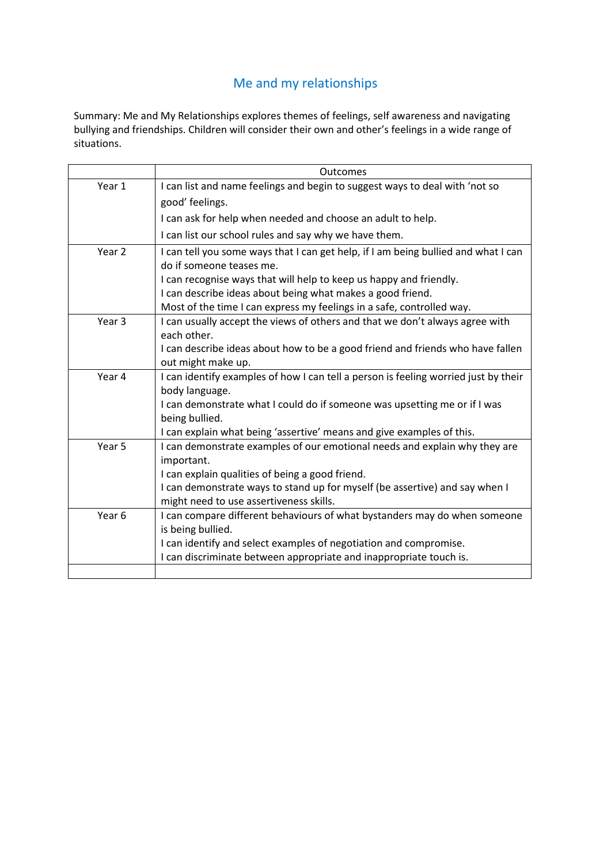## Me and my relationships

Summary: Me and My Relationships explores themes of feelings, self awareness and navigating bullying and friendships. Children will consider their own and other's feelings in a wide range of situations.

|                   | <b>Outcomes</b>                                                                          |
|-------------------|------------------------------------------------------------------------------------------|
| Year 1            | I can list and name feelings and begin to suggest ways to deal with 'not so              |
|                   | good' feelings.                                                                          |
|                   | I can ask for help when needed and choose an adult to help.                              |
|                   | I can list our school rules and say why we have them.                                    |
| Year <sub>2</sub> | I can tell you some ways that I can get help, if I am being bullied and what I can       |
|                   | do if someone teases me.                                                                 |
|                   | I can recognise ways that will help to keep us happy and friendly.                       |
|                   | I can describe ideas about being what makes a good friend.                               |
|                   | Most of the time I can express my feelings in a safe, controlled way.                    |
| Year <sub>3</sub> | I can usually accept the views of others and that we don't always agree with             |
|                   | each other.                                                                              |
|                   | I can describe ideas about how to be a good friend and friends who have fallen           |
|                   | out might make up.                                                                       |
| Year 4            | I can identify examples of how I can tell a person is feeling worried just by their      |
|                   | body language.                                                                           |
|                   | I can demonstrate what I could do if someone was upsetting me or if I was                |
|                   | being bullied.                                                                           |
|                   | I can explain what being 'assertive' means and give examples of this.                    |
| Year <sub>5</sub> | I can demonstrate examples of our emotional needs and explain why they are<br>important. |
|                   | I can explain qualities of being a good friend.                                          |
|                   | I can demonstrate ways to stand up for myself (be assertive) and say when I              |
|                   | might need to use assertiveness skills.                                                  |
| Year 6            | I can compare different behaviours of what bystanders may do when someone                |
|                   | is being bullied.                                                                        |
|                   | I can identify and select examples of negotiation and compromise.                        |
|                   | I can discriminate between appropriate and inappropriate touch is.                       |
|                   |                                                                                          |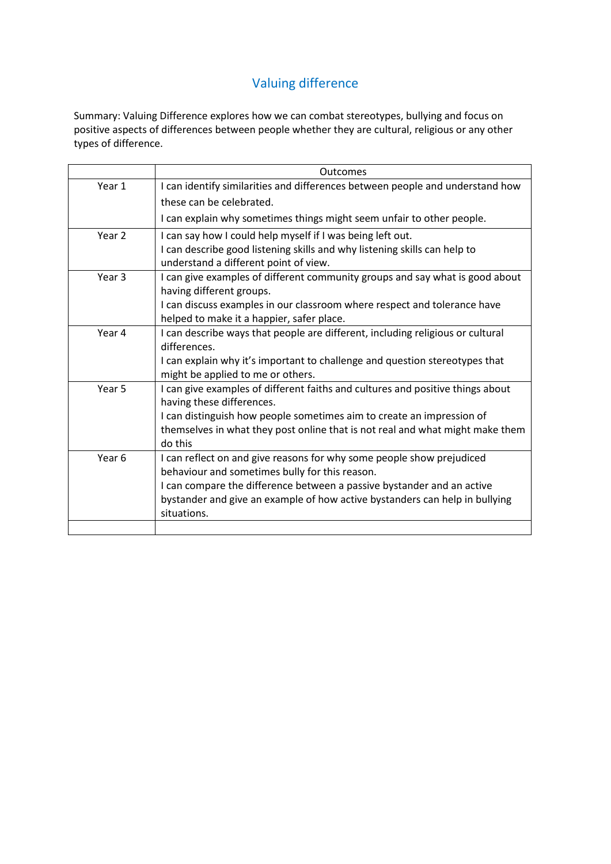# Valuing difference

Summary: Valuing Difference explores how we can combat stereotypes, bullying and focus on positive aspects of differences between people whether they are cultural, religious or any other types of difference.

|                   | Outcomes                                                                       |
|-------------------|--------------------------------------------------------------------------------|
| Year 1            | I can identify similarities and differences between people and understand how  |
|                   | these can be celebrated.                                                       |
|                   | I can explain why sometimes things might seem unfair to other people.          |
| Year 2            | I can say how I could help myself if I was being left out.                     |
|                   | I can describe good listening skills and why listening skills can help to      |
|                   | understand a different point of view.                                          |
| Year 3            | I can give examples of different community groups and say what is good about   |
|                   | having different groups.                                                       |
|                   | I can discuss examples in our classroom where respect and tolerance have       |
|                   | helped to make it a happier, safer place.                                      |
| Year 4            | I can describe ways that people are different, including religious or cultural |
|                   | differences.                                                                   |
|                   | I can explain why it's important to challenge and question stereotypes that    |
|                   | might be applied to me or others.                                              |
| Year 5            | I can give examples of different faiths and cultures and positive things about |
|                   | having these differences.                                                      |
|                   | I can distinguish how people sometimes aim to create an impression of          |
|                   | themselves in what they post online that is not real and what might make them  |
|                   | do this                                                                        |
| Year <sub>6</sub> | I can reflect on and give reasons for why some people show prejudiced          |
|                   | behaviour and sometimes bully for this reason.                                 |
|                   | I can compare the difference between a passive bystander and an active         |
|                   | bystander and give an example of how active bystanders can help in bullying    |
|                   | situations.                                                                    |
|                   |                                                                                |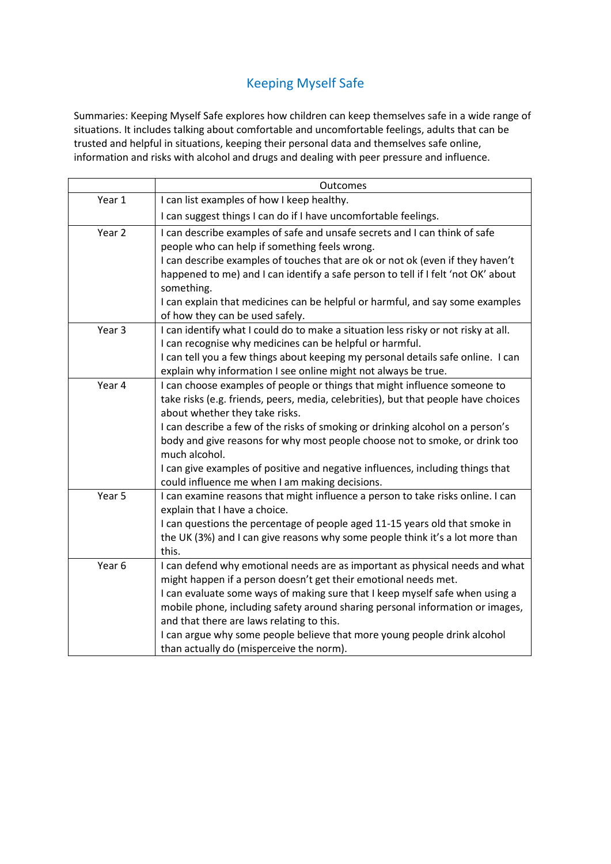## Keeping Myself Safe

Summaries: Keeping Myself Safe explores how children can keep themselves safe in a wide range of situations. It includes talking about comfortable and uncomfortable feelings, adults that can be trusted and helpful in situations, keeping their personal data and themselves safe online, information and risks with alcohol and drugs and dealing with peer pressure and influence.

|        | Outcomes                                                                                                         |
|--------|------------------------------------------------------------------------------------------------------------------|
| Year 1 | I can list examples of how I keep healthy.                                                                       |
|        | I can suggest things I can do if I have uncomfortable feelings.                                                  |
| Year 2 | I can describe examples of safe and unsafe secrets and I can think of safe                                       |
|        | people who can help if something feels wrong.                                                                    |
|        | I can describe examples of touches that are ok or not ok (even if they haven't                                   |
|        | happened to me) and I can identify a safe person to tell if I felt 'not OK' about                                |
|        | something.                                                                                                       |
|        | I can explain that medicines can be helpful or harmful, and say some examples                                    |
|        | of how they can be used safely.                                                                                  |
| Year 3 | I can identify what I could do to make a situation less risky or not risky at all.                               |
|        | I can recognise why medicines can be helpful or harmful.                                                         |
|        | I can tell you a few things about keeping my personal details safe online. I can                                 |
|        | explain why information I see online might not always be true.                                                   |
| Year 4 | I can choose examples of people or things that might influence someone to                                        |
|        | take risks (e.g. friends, peers, media, celebrities), but that people have choices                               |
|        | about whether they take risks.                                                                                   |
|        | I can describe a few of the risks of smoking or drinking alcohol on a person's                                   |
|        | body and give reasons for why most people choose not to smoke, or drink too                                      |
|        | much alcohol.                                                                                                    |
|        | I can give examples of positive and negative influences, including things that                                   |
| Year 5 | could influence me when I am making decisions.                                                                   |
|        | I can examine reasons that might influence a person to take risks online. I can<br>explain that I have a choice. |
|        | I can questions the percentage of people aged 11-15 years old that smoke in                                      |
|        | the UK (3%) and I can give reasons why some people think it's a lot more than                                    |
|        | this.                                                                                                            |
| Year 6 | I can defend why emotional needs are as important as physical needs and what                                     |
|        | might happen if a person doesn't get their emotional needs met.                                                  |
|        | I can evaluate some ways of making sure that I keep myself safe when using a                                     |
|        | mobile phone, including safety around sharing personal information or images,                                    |
|        | and that there are laws relating to this.                                                                        |
|        | I can argue why some people believe that more young people drink alcohol                                         |
|        | than actually do (misperceive the norm).                                                                         |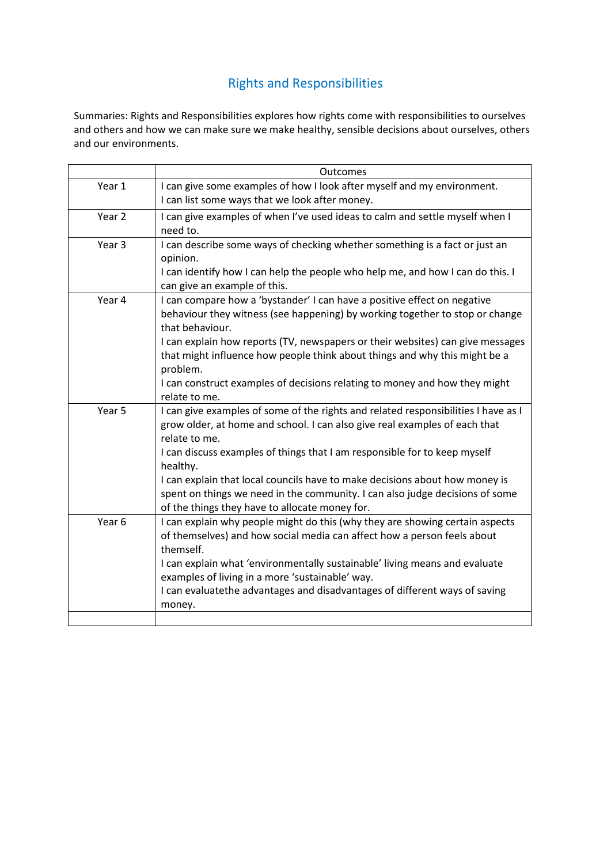# Rights and Responsibilities

Summaries: Rights and Responsibilities explores how rights come with responsibilities to ourselves and others and how we can make sure we make healthy, sensible decisions about ourselves, others and our environments.

|                   | <b>Outcomes</b>                                                                             |
|-------------------|---------------------------------------------------------------------------------------------|
| Year 1            | I can give some examples of how I look after myself and my environment.                     |
|                   | I can list some ways that we look after money.                                              |
| Year <sub>2</sub> | I can give examples of when I've used ideas to calm and settle myself when I                |
|                   | need to.                                                                                    |
| Year 3            | I can describe some ways of checking whether something is a fact or just an                 |
|                   | opinion.                                                                                    |
|                   | I can identify how I can help the people who help me, and how I can do this. I              |
|                   | can give an example of this.                                                                |
| Year 4            | I can compare how a 'bystander' I can have a positive effect on negative                    |
|                   | behaviour they witness (see happening) by working together to stop or change                |
|                   | that behaviour.                                                                             |
|                   | I can explain how reports (TV, newspapers or their websites) can give messages              |
|                   | that might influence how people think about things and why this might be a                  |
|                   | problem.                                                                                    |
|                   | I can construct examples of decisions relating to money and how they might                  |
|                   | relate to me.                                                                               |
| Year 5            | I can give examples of some of the rights and related responsibilities I have as I          |
|                   | grow older, at home and school. I can also give real examples of each that<br>relate to me. |
|                   |                                                                                             |
|                   | I can discuss examples of things that I am responsible for to keep myself<br>healthy.       |
|                   | I can explain that local councils have to make decisions about how money is                 |
|                   | spent on things we need in the community. I can also judge decisions of some                |
|                   | of the things they have to allocate money for.                                              |
| Year <sub>6</sub> | I can explain why people might do this (why they are showing certain aspects                |
|                   | of themselves) and how social media can affect how a person feels about                     |
|                   | themself.                                                                                   |
|                   | I can explain what 'environmentally sustainable' living means and evaluate                  |
|                   | examples of living in a more 'sustainable' way.                                             |
|                   | I can evaluatethe advantages and disadvantages of different ways of saving                  |
|                   | money.                                                                                      |
|                   |                                                                                             |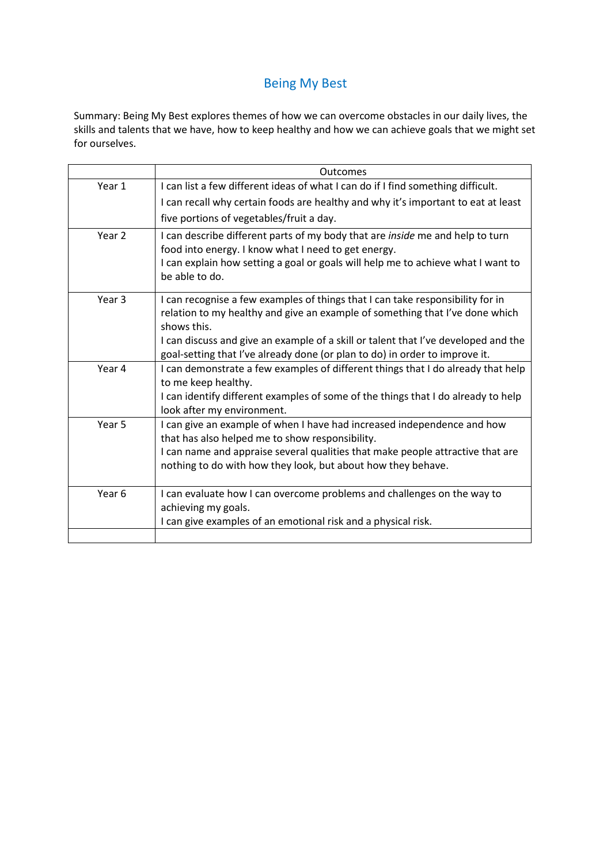### Being My Best

Summary: Being My Best explores themes of how we can overcome obstacles in our daily lives, the skills and talents that we have, how to keep healthy and how we can achieve goals that we might set for ourselves.

|                   | Outcomes                                                                                                                                                                                                                                                                                                                                           |
|-------------------|----------------------------------------------------------------------------------------------------------------------------------------------------------------------------------------------------------------------------------------------------------------------------------------------------------------------------------------------------|
| Year 1            | I can list a few different ideas of what I can do if I find something difficult.                                                                                                                                                                                                                                                                   |
|                   | I can recall why certain foods are healthy and why it's important to eat at least                                                                                                                                                                                                                                                                  |
|                   | five portions of vegetables/fruit a day.                                                                                                                                                                                                                                                                                                           |
| Year <sub>2</sub> | I can describe different parts of my body that are <i>inside</i> me and help to turn<br>food into energy. I know what I need to get energy.<br>I can explain how setting a goal or goals will help me to achieve what I want to<br>be able to do.                                                                                                  |
| Year <sub>3</sub> | I can recognise a few examples of things that I can take responsibility for in<br>relation to my healthy and give an example of something that I've done which<br>shows this.<br>I can discuss and give an example of a skill or talent that I've developed and the<br>goal-setting that I've already done (or plan to do) in order to improve it. |
| Year 4            | I can demonstrate a few examples of different things that I do already that help<br>to me keep healthy.<br>I can identify different examples of some of the things that I do already to help<br>look after my environment.                                                                                                                         |
| Year 5            | I can give an example of when I have had increased independence and how<br>that has also helped me to show responsibility.<br>I can name and appraise several qualities that make people attractive that are<br>nothing to do with how they look, but about how they behave.                                                                       |
| Year 6            | I can evaluate how I can overcome problems and challenges on the way to<br>achieving my goals.<br>I can give examples of an emotional risk and a physical risk.                                                                                                                                                                                    |